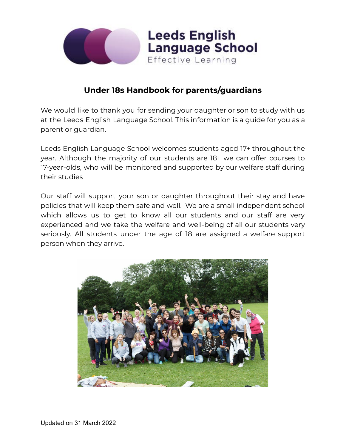

# **Under 18s Handbook for parents/guardians**

We would like to thank you for sending your daughter or son to study with us at the Leeds English Language School. This information is a guide for you as a parent or guardian.

Leeds English Language School welcomes students aged 17+ throughout the year. Although the majority of our students are 18+ we can offer courses to 17-year-olds, who will be monitored and supported by our welfare staff during their studies

Our staff will support your son or daughter throughout their stay and have policies that will keep them safe and well. We are a small independent school which allows us to get to know all our students and our staff are very experienced and we take the welfare and well-being of all our students very seriously. All students under the age of 18 are assigned a welfare support person when they arrive.

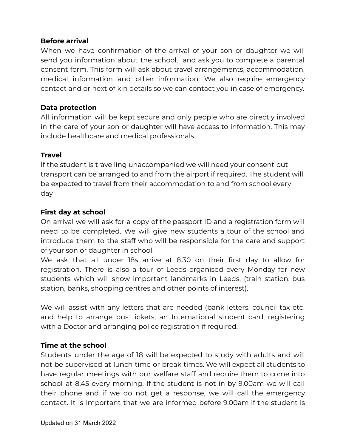#### **Before arrival**

When we have confirmation of the arrival of your son or daughter we will send you information about the school, and ask you to complete a parental consent form. This form will ask about travel arrangements, accommodation, medical information and other information. We also require emergency contact and or next of kin details so we can contact you in case of emergency.

#### **Data protection**

All information will be kept secure and only people who are directly involved in the care of your son or daughter will have access to information. This may include healthcare and medical professionals.

#### **Travel**

If the student is travelling unaccompanied we will need your consent but transport can be arranged to and from the airport if required. The student will be expected to travel from their accommodation to and from school every day

# **First day at school**

On arrival we will ask for a copy of the passport ID and a registration form will need to be completed. We will give new students a tour of the school and introduce them to the staff who will be responsible for the care and support of your son or daughter in school.

We ask that all under 18s arrive at 8.30 on their first day to allow for registration. There is also a tour of Leeds organised every Monday for new students which will show important landmarks in Leeds, (train station, bus station, banks, shopping centres and other points of interest).

We will assist with any letters that are needed (bank letters, council tax etc. and help to arrange bus tickets, an International student card, registering with a Doctor and arranging police registration if required.

# **Time at the school**

Students under the age of 18 will be expected to study with adults and will not be supervised at lunch time or break times. We will expect all students to have regular meetings with our welfare staff and require them to come into school at 8.45 every morning. If the student is not in by 9.00am we will call their phone and if we do not get a response, we will call the emergency contact. It is important that we are informed before 9.00am if the student is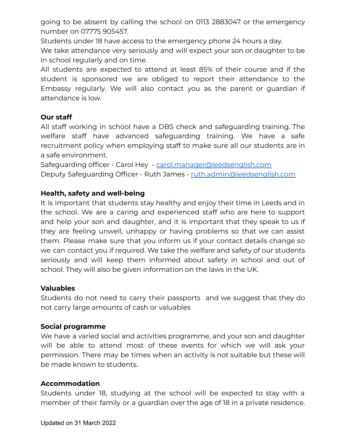going to be absent by calling the school on 0113 2883047 or the emergency number on 07775 905457.

Students under 18 have access to the emergency phone 24 hours a day.

We take attendance very seriously and will expect your son or daughter to be in school regularly and on time.

All students are expected to attend at least 85% of their course and if the student is sponsored we are obliged to report their attendance to the Embassy regularly. We will also contact you as the parent or guardian if attendance is low.

# **Our staff**

All staff working in school have a DBS check and safeguarding training. The welfare staff have advanced safeguarding training. We have a safe recruitment policy when employing staff to make sure all our students are in a safe environment.

Safeguarding officer - Carol Hey - [carol.manager@leedsenglish.com](mailto:carol.manager@leedsenglish.com) Deputy Safeguarding Officer - Ruth James - [ruth.admin@leedsenglish.com](mailto:ruth.admin@leedsenglish.com)

# **Health, safety and well-being**

It is important that students stay healthy and enjoy their time in Leeds and in the school. We are a caring and experienced staff who are here to support and help your son and daughter, and it is important that they speak to us if they are feeling unwell, unhappy or having problems so that we can assist them. Please make sure that you inform us if your contact details change so we can contact you if required. We take the welfare and safety of our students seriously and will keep them informed about safety in school and out of school. They will also be given information on the laws in the UK.

# **Valuables**

Students do not need to carry their passports and we suggest that they do not carry large amounts of cash or valuables

# **Social programme**

We have a varied social and activities programme, and your son and daughter will be able to attend most of these events for which we will ask your permission. There may be times when an activity is not suitable but these will be made known to students.

# **Accommodation**

Students under 18, studying at the school will be expected to stay with a member of their family or a guardian over the age of 18 in a private residence.